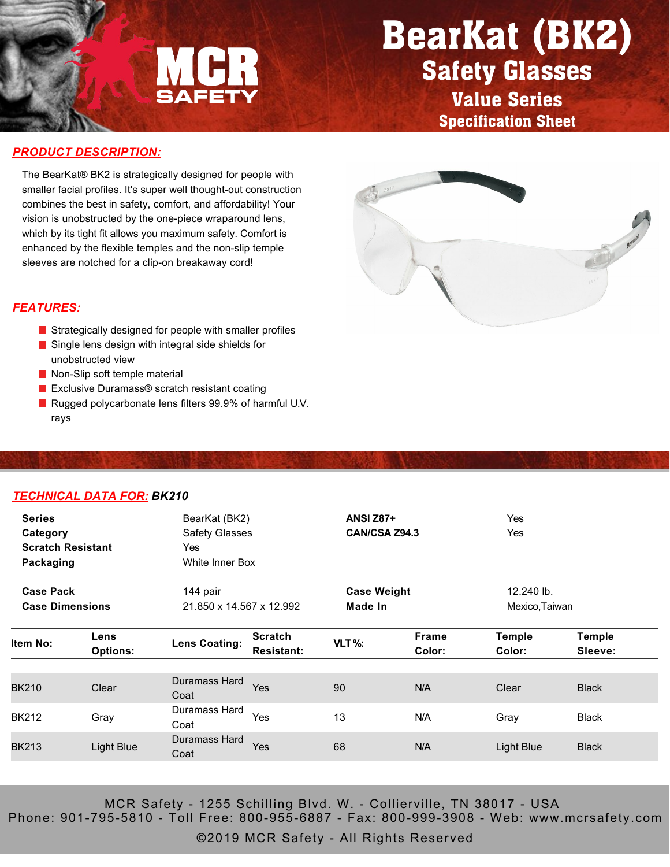

## BearKat (BK2) Safety Glasses

Value Series Specification Sheet

#### *PRODUCT DESCRIPTION:*

The BearKat® BK2 is strategically designed for people with smaller facial profiles. It's super well thought-out construction combines the best in safety, comfort, and affordability! Your vision is unobstructed by the one-piece wraparound lens, which by its tight fit allows you maximum safety. Comfort is enhanced by the flexible temples and the non-slip temple sleeves are notched for a clip-on breakaway cord!



#### *FEATURES:*

- Strategically designed for people with smaller profiles
- Single lens design with integral side shields for unobstructed view
- Non-Slip soft temple material
- Exclusive Duramass<sup>®</sup> scratch resistant coating
- Rugged polycarbonate lens filters 99.9% of harmful U.V. rays

#### *TECHNICAL DATA FOR: BK210*

| <b>Series</b><br>Category<br><b>Scratch Resistant</b><br>Packaging |                         | BearKat (BK2)<br><b>Safety Glasses</b><br>Yes<br>White Inner Box |                                     | <b>ANSI Z87+</b><br>CAN/CSA Z94.3 |                        | Yes<br>Yes              |                          |  |
|--------------------------------------------------------------------|-------------------------|------------------------------------------------------------------|-------------------------------------|-----------------------------------|------------------------|-------------------------|--------------------------|--|
| <b>Case Pack</b>                                                   |                         | 144 pair                                                         |                                     | <b>Case Weight</b>                |                        | 12.240 lb.              |                          |  |
| <b>Case Dimensions</b>                                             |                         | 21.850 x 14.567 x 12.992                                         |                                     |                                   | Made In                |                         | Mexico, Taiwan           |  |
| ltem No:                                                           | Lens<br><b>Options:</b> | <b>Lens Coating:</b>                                             | <b>Scratch</b><br><b>Resistant:</b> | VLT%:                             | <b>Frame</b><br>Color: | <b>Temple</b><br>Color: | <b>Temple</b><br>Sleeve: |  |
| <b>BK210</b>                                                       | Clear                   | Duramass Hard<br>Coat                                            | Yes                                 | 90                                | N/A                    | Clear                   | <b>Black</b>             |  |
| BK212                                                              | Gray                    | Duramass Hard<br>Coat                                            | Yes                                 | 13                                | N/A                    | Gray                    | <b>Black</b>             |  |
| <b>BK213</b>                                                       | Light Blue              | Duramass Hard<br>Coat                                            | Yes                                 | 68                                | N/A                    | Light Blue              | <b>Black</b>             |  |
|                                                                    |                         |                                                                  |                                     |                                   |                        |                         |                          |  |

MCR Safety - 1255 Schilling Blvd. W. - Collierville, TN 38017 - USA Phone: 901-795-5810 - Toll Free: 800-955-6887 - Fax: 800-999-3908 - Web: www.mcrsafety.com

©2019 MCR Safety - All Rights Reserved